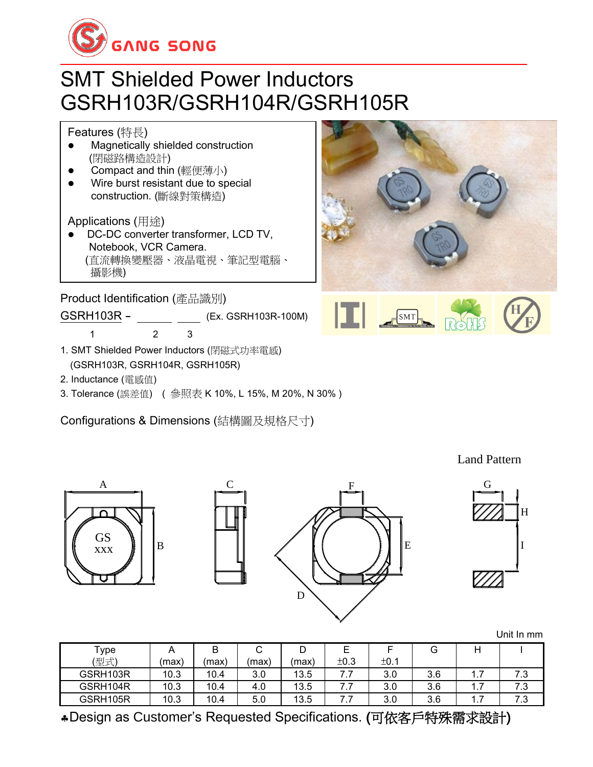

# SMT Shielded Power Inductors GSRH103R/GSRH104R/GSRH105R

#### Features (特長)

- ⚫ Magnetically shielded construction (閉磁路構造設計)
- ⚫ Compact and thin (輕便薄小)
- ⚫ Wire burst resistant due to special construction. (斷線對策構造)

### Applications (用途)

⚫ DC-DC converter transformer, LCD TV, Notebook, VCR Camera. (直流轉換變壓器、液晶電視、筆記型電腦、 攝影機)

### Product Identification (產品識別)

- GSRH103R (Ex. GSRH103R-100M)
- 1 2 3
- 1. SMT Shielded Power Inductors (閉磁式功率電感) (GSRH103R, GSRH104R, GSRH105R)
- 2. Inductance (電感值)
- 3. Tolerance (誤差值) ( 參照表 K 10%, L 15%, M 20%, N 30% )

Configurations & Dimensions (結構圖及規格尺寸)





 $\begin{array}{cc} S_{\text{D}} \\ \text{XXX} \end{array}$  | | | B GS A C

D



Land Pattern



Unit In mm

| Type     | $\sqrt{ }$ | B    |       | ◡     | ⊢<br>┕   |      | G   | Н           |             |
|----------|------------|------|-------|-------|----------|------|-----|-------------|-------------|
| [型式]     | (max)      | 'max | 'max, | (max) | ±0.3     | ±0.1 |     |             |             |
| GSRH103R | 10.3       | 10.4 | 3.0   | 13.5  | $\cdots$ | 3.0  | 3.6 | ı. <i>ı</i> | 70<br>. ت   |
| GSRH104R | 10.3       | 10.4 | 4.0   | 13.5  | .        | 3.0  | 3.6 | ı. 1        | 72<br>. . ت |
| GSRH105R | 10.3       | 10.4 | 5.0   | 13.5  | .        | 3.0  | 3.6 | .           | 70<br>ں. ،  |

Design as Customer's Requested Specifications. (可依客戶特殊需求設計)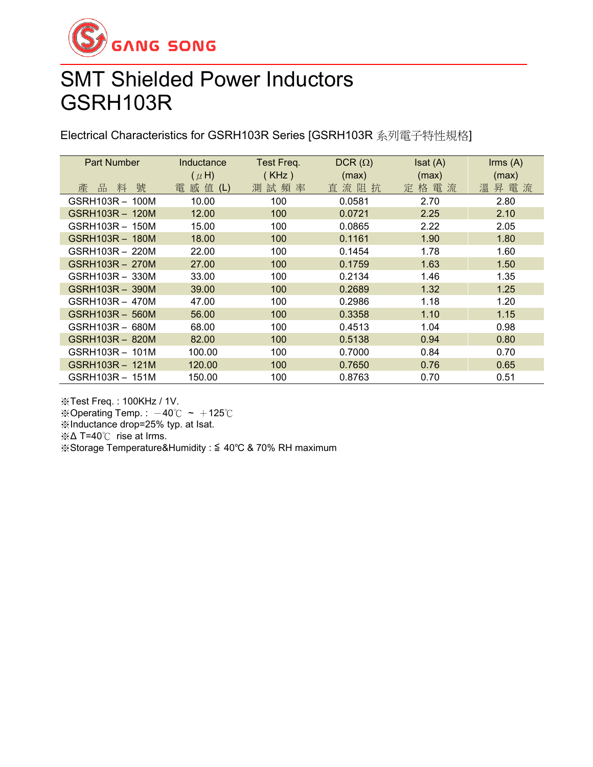

## SMT Shielded Power Inductors GSRH103R

Electrical Characteristics for GSRH103R Series [GSRH103R 系列電子特性規格]

| <b>Part Number</b> | Inductance         | Test Freq.   | $DCR(\Omega)$ | Isat(A)  | $\mathsf{lrms}(\mathsf{A})$ |
|--------------------|--------------------|--------------|---------------|----------|-----------------------------|
|                    | $(\mu H)$          | (KHz)        | (max)         | (max)    | (max)                       |
| 號<br>產<br>料<br>品   | 感<br>值<br>電<br>(L) | 測<br>試頻<br>率 | 流阻抗<br>直      | 格電流<br>定 | 電<br>昇<br>溫<br>流            |
| GSRH103R - 100M    | 10.00              | 100          | 0.0581        | 2.70     | 2.80                        |
| GSRH103R - 120M    | 12.00              | 100          | 0.0721        | 2.25     | 2.10                        |
| GSRH103R - 150M    | 15.00              | 100          | 0.0865        | 2.22     | 2.05                        |
| GSRH103R - 180M    | 18.00              | 100          | 0.1161        | 1.90     | 1.80                        |
| GSRH103R - 220M    | 22.00              | 100          | 0.1454        | 1.78     | 1.60                        |
| GSRH103R - 270M    | 27.00              | 100          | 0.1759        | 1.63     | 1.50                        |
| GSRH103R - 330M    | 33.00              | 100          | 0.2134        | 1.46     | 1.35                        |
| GSRH103R - 390M    | 39.00              | 100          | 0.2689        | 1.32     | 1.25                        |
| GSRH103R - 470M    | 47.00              | 100          | 0.2986        | 1.18     | 1.20                        |
| GSRH103R - 560M    | 56.00              | 100          | 0.3358        | 1.10     | 1.15                        |
| GSRH103R - 680M    | 68.00              | 100          | 0.4513        | 1.04     | 0.98                        |
| GSRH103R - 820M    | 82.00              | 100          | 0.5138        | 0.94     | 0.80                        |
| GSRH103R - 101M    | 100.00             | 100          | 0.7000        | 0.84     | 0.70                        |
| GSRH103R - 121M    | 120.00             | 100          | 0.7650        | 0.76     | 0.65                        |
| GSRH103R - 151M    | 150.00             | 100          | 0.8763        | 0.70     | 0.51                        |

※Test Freq. : 100KHz / 1V.

※Operating Temp.:  $-40^{\circ}$ C ~  $+125^{\circ}$ C

※Inductance drop=25% typ. at Isat.

※Δ T=40℃ rise at Irms.

※Storage Temperature&Humidity : ≦ 40℃ & 70% RH maximum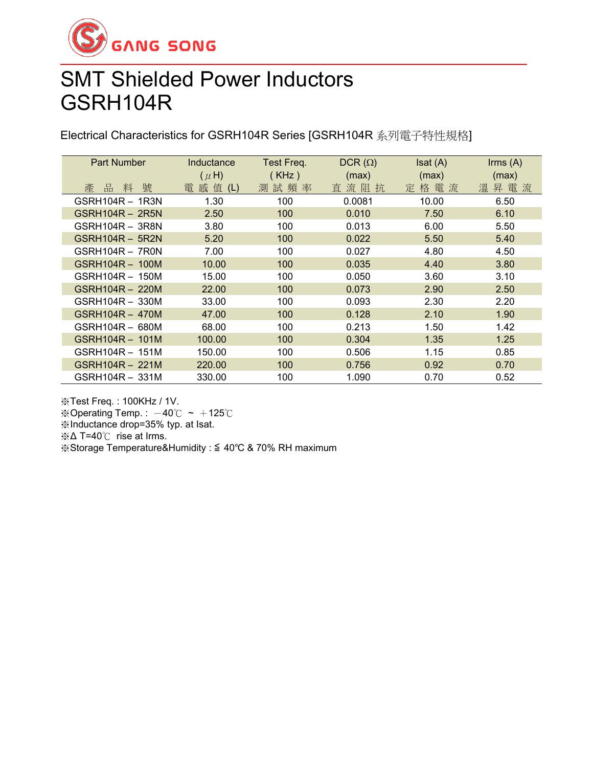

## SMT Shielded Power Inductors GSRH104R

Electrical Characteristics for GSRH104R Series [GSRH104R 系列電子特性規格]

| <b>Part Number</b> | Inductance         | Test Freq.   | $DCR(\Omega)$ | Isat (A)     | $\mathsf{lrms}\ (\mathsf{A})$ |
|--------------------|--------------------|--------------|---------------|--------------|-------------------------------|
|                    | $(\mu H)$          | (KHz)        | (max)         | (max)        | (max)                         |
| 號<br>品<br>料<br>產   | 值<br>感<br>電<br>(L) | 試頻<br>測<br>率 | 直流阻<br>抗      | 電流<br>格<br>定 | 昇<br>電<br>溫<br>流              |
| GSRH104R - 1R3N    | 1.30               | 100          | 0.0081        | 10.00        | 6.50                          |
| GSRH104R - 2R5N    | 2.50               | 100          | 0.010         | 7.50         | 6.10                          |
| GSRH104R - 3R8N    | 3.80               | 100          | 0.013         | 6.00         | 5.50                          |
| GSRH104R - 5R2N    | 5.20               | 100          | 0.022         | 5.50         | 5.40                          |
| $GSRH104R - TR0N$  | 7.00               | 100          | 0.027         | 4.80         | 4.50                          |
| GSRH104R - 100M    | 10.00              | 100          | 0.035         | 4.40         | 3.80                          |
| GSRH104R - 150M    | 15.00              | 100          | 0.050         | 3.60         | 3.10                          |
| GSRH104R - 220M    | 22.00              | 100          | 0.073         | 2.90         | 2.50                          |
| GSRH104R - 330M    | 33.00              | 100          | 0.093         | 2.30         | 2.20                          |
| GSRH104R - 470M    | 47.00              | 100          | 0.128         | 2.10         | 1.90                          |
| GSRH104R - 680M    | 68.00              | 100          | 0.213         | 1.50         | 1.42                          |
| GSRH104R - 101M    | 100.00             | 100          | 0.304         | 1.35         | 1.25                          |
| GSRH104R - 151M    | 150.00             | 100          | 0.506         | 1.15         | 0.85                          |
| GSRH104R - 221M    | 220.00             | 100          | 0.756         | 0.92         | 0.70                          |
| GSRH104R - 331M    | 330.00             | 100          | 1.090         | 0.70         | 0.52                          |

※Test Freq. : 100KHz / 1V.

※Operating Temp.:  $-40^{\circ}$ C ~  $+125^{\circ}$ C

※Inductance drop=35% typ. at Isat.

※Δ T=40℃ rise at Irms.

※Storage Temperature&Humidity : ≦ 40℃ & 70% RH maximum